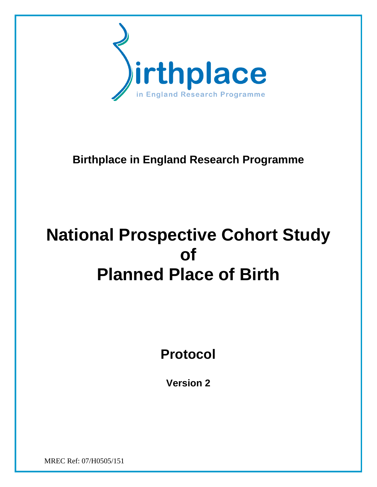

# **Birthplace in England Research Programme**

# **National Prospective Cohort Study of Planned Place of Birth**

**Protocol** 

**Version 2** 

MREC Ref: 07/H0505/151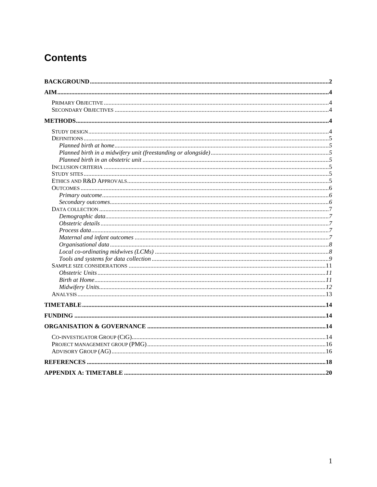# **Contents**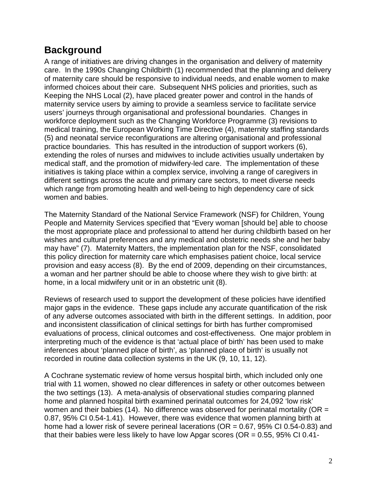# **Background**

A range of initiatives are driving changes in the organisation and delivery of maternity care. In the 1990s Changing Childbirth (1) recommended that the planning and delivery of maternity care should be responsive to individual needs, and enable women to make informed choices about their care. Subsequent NHS policies and priorities, such as Keeping the NHS Local (2), have placed greater power and control in the hands of maternity service users by aiming to provide a seamless service to facilitate service users' journeys through organisational and professional boundaries. Changes in workforce deployment such as the Changing Workforce Programme (3) revisions to medical training, the European Working Time Directive (4), maternity staffing standards (5) and neonatal service reconfigurations are altering organisational and professional practice boundaries. This has resulted in the introduction of support workers (6), extending the roles of nurses and midwives to include activities usually undertaken by medical staff, and the promotion of midwifery-led care. The implementation of these initiatives is taking place within a complex service, involving a range of caregivers in different settings across the acute and primary care sectors, to meet diverse needs which range from promoting health and well-being to high dependency care of sick women and babies.

The Maternity Standard of the National Service Framework (NSF) for Children, Young People and Maternity Services specified that "Every woman [should be] able to choose the most appropriate place and professional to attend her during childbirth based on her wishes and cultural preferences and any medical and obstetric needs she and her baby may have" (7). Maternity Matters, the implementation plan for the NSF, consolidated this policy direction for maternity care which emphasises patient choice, local service provision and easy access (8). By the end of 2009, depending on their circumstances, a woman and her partner should be able to choose where they wish to give birth: at home, in a local midwifery unit or in an obstetric unit (8).

Reviews of research used to support the development of these policies have identified major gaps in the evidence. These gaps include any accurate quantification of the risk of any adverse outcomes associated with birth in the different settings. In addition, poor and inconsistent classification of clinical settings for birth has further compromised evaluations of process, clinical outcomes and cost-effectiveness. One major problem in interpreting much of the evidence is that 'actual place of birth' has been used to make inferences about 'planned place of birth', as 'planned place of birth' is usually not recorded in routine data collection systems in the UK (9, 10, 11, 12).

A Cochrane systematic review of home versus hospital birth, which included only one trial with 11 women, showed no clear differences in safety or other outcomes between the two settings (13). A meta-analysis of observational studies comparing planned home and planned hospital birth examined perinatal outcomes for 24,092 'low risk' women and their babies (14). No difference was observed for perinatal mortality ( $OR =$ 0.87, 95% CI 0.54-1.41). However, there was evidence that women planning birth at home had a lower risk of severe perineal lacerations ( $OR = 0.67$ , 95% CI 0.54-0.83) and that their babies were less likely to have low Apgar scores ( $OR = 0.55$ ,  $95\%$  CI 0.41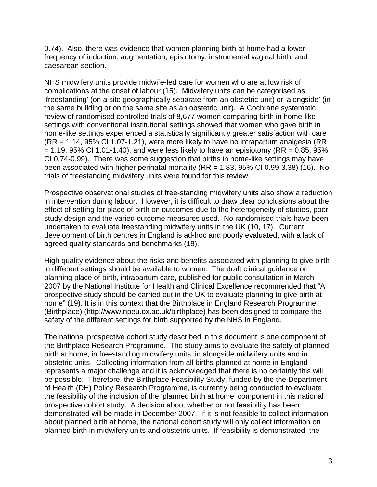0.74). Also, there was evidence that women planning birth at home had a lower frequency of induction, augmentation, episiotomy, instrumental vaginal birth, and caesarean section.

NHS midwifery units provide midwife-led care for women who are at low risk of complications at the onset of labour (15). Midwifery units can be categorised as 'freestanding' (on a site geographically separate from an obstetric unit) or 'alongside' (in the same building or on the same site as an obstetric unit). A Cochrane systematic review of randomised controlled trials of 8,677 women comparing birth in home-like settings with conventional institutional settings showed that women who gave birth in home-like settings experienced a statistically significantly greater satisfaction with care (RR = 1.14, 95% CI 1.07-1.21), were more likely to have no intrapartum analgesia (RR  $= 1.19$ , 95% CI 1.01-1.40), and were less likely to have an episiotomy (RR = 0.85, 95%) CI 0.74-0.99). There was some suggestion that births in home-like settings may have been associated with higher perinatal mortality (RR = 1.83, 95% CI 0.99-3.38) (16). No trials of freestanding midwifery units were found for this review.

Prospective observational studies of free-standing midwifery units also show a reduction in intervention during labour. However, it is difficult to draw clear conclusions about the effect of setting for place of birth on outcomes due to the heterogeneity of studies, poor study design and the varied outcome measures used. No randomised trials have been undertaken to evaluate freestanding midwifery units in the UK (10, 17). Current development of birth centres in England is ad-hoc and poorly evaluated, with a lack of agreed quality standards and benchmarks (18).

High quality evidence about the risks and benefits associated with planning to give birth in different settings should be available to women. The draft clinical guidance on planning place of birth, intrapartum care, published for public consultation in March 2007 by the National Institute for Health and Clinical Excellence recommended that "A prospective study should be carried out in the UK to evaluate planning to give birth at home" (19). It is in this context that the Birthplace in England Research Programme (Birthplace) (http://www.npeu.ox.ac.uk/birthplace) has been designed to compare the safety of the different settings for birth supported by the NHS in England.

The national prospective cohort study described in this document is one component of the Birthplace Research Programme. The study aims to evaluate the safety of planned birth at home, in freestanding midwifery units, in alongside midwifery units and in obstetric units. Collecting information from all births planned at home in England represents a major challenge and it is acknowledged that there is no certainty this will be possible. Therefore, the Birthplace Feasibility Study, funded by the the Department of Health (DH) Policy Research Programme, is currently being conducted to evaluate the feasibility of the inclusion of the 'planned birth at home' component in this national prospective cohort study. A decision about whether or not feasibility has been demonstrated will be made in December 2007. If it is not feasible to collect information about planned birth at home, the national cohort study will only collect information on planned birth in midwifery units and obstetric units. If feasibility is demonstrated, the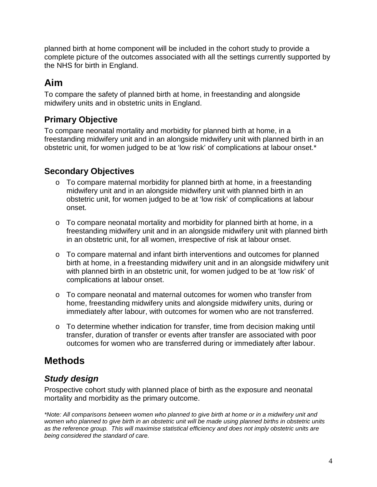planned birth at home component will be included in the cohort study to provide a complete picture of the outcomes associated with all the settings currently supported by the NHS for birth in England.

# **Aim**

To compare the safety of planned birth at home, in freestanding and alongside midwifery units and in obstetric units in England.

# **Primary Objective**

To compare neonatal mortality and morbidity for planned birth at home, in a freestanding midwifery unit and in an alongside midwifery unit with planned birth in an obstetric unit, for women judged to be at 'low risk' of complications at labour onset.\*

# **Secondary Objectives**

- o To compare maternal morbidity for planned birth at home, in a freestanding midwifery unit and in an alongside midwifery unit with planned birth in an obstetric unit, for women judged to be at 'low risk' of complications at labour onset.
- o To compare neonatal mortality and morbidity for planned birth at home, in a freestanding midwifery unit and in an alongside midwifery unit with planned birth in an obstetric unit, for all women, irrespective of risk at labour onset.
- $\circ$  To compare maternal and infant birth interventions and outcomes for planned birth at home, in a freestanding midwifery unit and in an alongside midwifery unit with planned birth in an obstetric unit, for women judged to be at 'low risk' of complications at labour onset.
- o To compare neonatal and maternal outcomes for women who transfer from home, freestanding midwifery units and alongside midwifery units, during or immediately after labour, with outcomes for women who are not transferred.
- $\circ$  To determine whether indication for transfer, time from decision making until transfer, duration of transfer or events after transfer are associated with poor outcomes for women who are transferred during or immediately after labour.

# **Methods**

# **Study design**

Prospective cohort study with planned place of birth as the exposure and neonatal mortality and morbidity as the primary outcome.

\*Note: All comparisons between women who planned to give birth at home or in a midwifery unit and women who planned to give birth in an obstetric unit will be made using planned births in obstetric units as the reference group. This will maximise statistical efficiency and does not imply obstetric units are being considered the standard of care.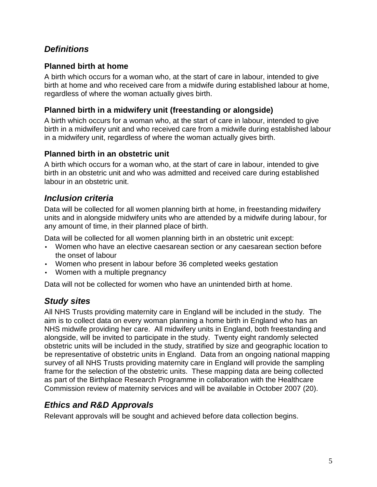## **Definitions**

#### **Planned birth at home**

A birth which occurs for a woman who, at the start of care in labour, intended to give birth at home and who received care from a midwife during established labour at home, regardless of where the woman actually gives birth.

#### **Planned birth in a midwifery unit (freestanding or alongside)**

A birth which occurs for a woman who, at the start of care in labour, intended to give birth in a midwifery unit and who received care from a midwife during established labour in a midwifery unit, regardless of where the woman actually gives birth.

#### **Planned birth in an obstetric unit**

A birth which occurs for a woman who, at the start of care in labour, intended to give birth in an obstetric unit and who was admitted and received care during established labour in an obstetric unit.

### **Inclusion criteria**

Data will be collected for all women planning birth at home, in freestanding midwifery units and in alongside midwifery units who are attended by a midwife during labour, for any amount of time, in their planned place of birth.

Data will be collected for all women planning birth in an obstetric unit except:

- Women who have an elective caesarean section or any caesarean section before the onset of labour
- Women who present in labour before 36 completed weeks gestation
- Women with a multiple pregnancy

Data will not be collected for women who have an unintended birth at home.

# **Study sites**

All NHS Trusts providing maternity care in England will be included in the study. The aim is to collect data on every woman planning a home birth in England who has an NHS midwife providing her care. All midwifery units in England, both freestanding and alongside, will be invited to participate in the study. Twenty eight randomly selected obstetric units will be included in the study, stratified by size and geographic location to be representative of obstetric units in England. Data from an ongoing national mapping survey of all NHS Trusts providing maternity care in England will provide the sampling frame for the selection of the obstetric units. These mapping data are being collected as part of the Birthplace Research Programme in collaboration with the Healthcare Commission review of maternity services and will be available in October 2007 (20).

# **Ethics and R&D Approvals**

Relevant approvals will be sought and achieved before data collection begins.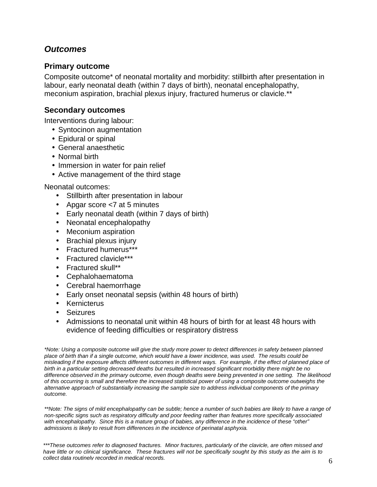### **Outcomes**

#### **Primary outcome**

Composite outcome\* of neonatal mortality and morbidity: stillbirth after presentation in labour, early neonatal death (within 7 days of birth), neonatal encephalopathy, meconium aspiration, brachial plexus injury, fractured humerus or clavicle.\*\*

#### **Secondary outcomes**

Interventions during labour:

- Syntocinon augmentation
- Epidural or spinal
- General anaesthetic
- Normal birth
- Immersion in water for pain relief
- Active management of the third stage

Neonatal outcomes:

- Stillbirth after presentation in labour
- Apgar score <7 at 5 minutes
- Early neonatal death (within 7 days of birth)
- Neonatal encephalopathy
- Meconium aspiration
- Brachial plexus injury
- Fractured humerus\*\*\*
- Fractured clavicle\*\*\*
- Fractured skull\*\*
- Cephalohaematoma
- Cerebral haemorrhage
- Early onset neonatal sepsis (within 48 hours of birth)
- Kernicterus
- Seizures
- Admissions to neonatal unit within 48 hours of birth for at least 48 hours with evidence of feeding difficulties or respiratory distress

\*Note: Using a composite outcome will give the study more power to detect differences in safety between planned place of birth than if a single outcome, which would have a lower incidence, was used. The results could be misleading if the exposure affects different outcomes in different ways. For example, if the effect of planned place of birth in a particular setting decreased deaths but resulted in increased significant morbidity there might be no difference observed in the primary outcome, even though deaths were being prevented in one setting. The likelihood of this occurring is small and therefore the increased statistical power of using a composite outcome outweighs the alternative approach of substantially increasing the sample size to address individual components of the primary outcome.

\*\*Note: The signs of mild encephalopathy can be subtle; hence a number of such babies are likely to have a range of non-specific signs such as respiratory difficulty and poor feeding rather than features more specifically associated with encephalopathy. Since this is a mature group of babies, any difference in the incidence of these "other" admissions is likely to result from differences in the incidence of perinatal asphyxia.

\*\*\*These outcomes refer to diagnosed fractures. Minor fractures, particularly of the clavicle, are often missed and have little or no clinical significance. These fractures will not be specifically sought by this study as the aim is to collect data routinely recorded in medical records.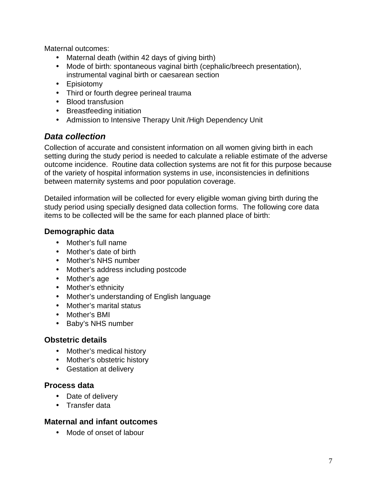Maternal outcomes:

- Maternal death (within 42 days of giving birth)
- Mode of birth: spontaneous vaginal birth (cephalic/breech presentation), instrumental vaginal birth or caesarean section
- Episiotomy
- Third or fourth degree perineal trauma
- Blood transfusion
- Breastfeeding initiation
- Admission to Intensive Therapy Unit /High Dependency Unit

### **Data collection**

Collection of accurate and consistent information on all women giving birth in each setting during the study period is needed to calculate a reliable estimate of the adverse outcome incidence. Routine data collection systems are not fit for this purpose because of the variety of hospital information systems in use, inconsistencies in definitions between maternity systems and poor population coverage.

Detailed information will be collected for every eligible woman giving birth during the study period using specially designed data collection forms. The following core data items to be collected will be the same for each planned place of birth:

#### **Demographic data**

- Mother's full name
- Mother's date of birth
- Mother's NHS number
- Mother's address including postcode
- Mother's age
- Mother's ethnicity
- Mother's understanding of English language
- Mother's marital status
- Mother's BMI
- Baby's NHS number

#### **Obstetric details**

- Mother's medical history
- Mother's obstetric history
- Gestation at delivery

#### **Process data**

- Date of delivery
- Transfer data

#### **Maternal and infant outcomes**

• Mode of onset of labour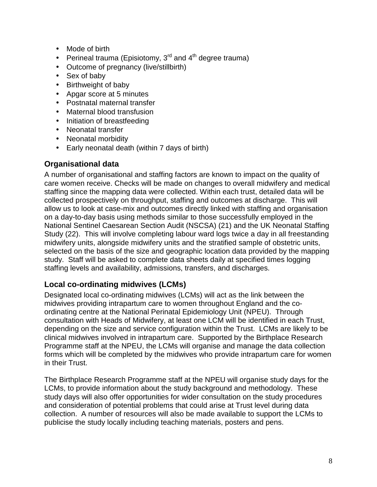- Mode of birth
- Perineal trauma (Episiotomy,  $3<sup>rd</sup>$  and  $4<sup>th</sup>$  degree trauma)
- Outcome of pregnancy (live/stillbirth)
- Sex of baby
- Birthweight of baby
- Apgar score at 5 minutes
- Postnatal maternal transfer
- Maternal blood transfusion
- Initiation of breastfeeding
- Neonatal transfer
- Neonatal morbidity
- Early neonatal death (within 7 days of birth)

#### **Organisational data**

A number of organisational and staffing factors are known to impact on the quality of care women receive. Checks will be made on changes to overall midwifery and medical staffing since the mapping data were collected. Within each trust, detailed data will be collected prospectively on throughput, staffing and outcomes at discharge. This will allow us to look at case-mix and outcomes directly linked with staffing and organisation on a day-to-day basis using methods similar to those successfully employed in the National Sentinel Caesarean Section Audit (NSCSA) (21) and the UK Neonatal Staffing Study (22). This will involve completing labour ward logs twice a day in all freestanding midwifery units, alongside midwifery units and the stratified sample of obstetric units, selected on the basis of the size and geographic location data provided by the mapping study. Staff will be asked to complete data sheets daily at specified times logging staffing levels and availability, admissions, transfers, and discharges.

### **Local co-ordinating midwives (LCMs)**

Designated local co-ordinating midwives (LCMs) will act as the link between the midwives providing intrapartum care to women throughout England and the coordinating centre at the National Perinatal Epidemiology Unit (NPEU). Through consultation with Heads of Midwifery, at least one LCM will be identified in each Trust, depending on the size and service configuration within the Trust. LCMs are likely to be clinical midwives involved in intrapartum care. Supported by the Birthplace Research Programme staff at the NPEU, the LCMs will organise and manage the data collection forms which will be completed by the midwives who provide intrapartum care for women in their Trust.

The Birthplace Research Programme staff at the NPEU will organise study days for the LCMs, to provide information about the study background and methodology. These study days will also offer opportunities for wider consultation on the study procedures and consideration of potential problems that could arise at Trust level during data collection. A number of resources will also be made available to support the LCMs to publicise the study locally including teaching materials, posters and pens.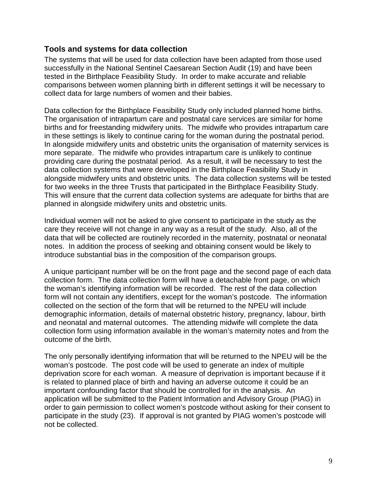#### **Tools and systems for data collection**

The systems that will be used for data collection have been adapted from those used successfully in the National Sentinel Caesarean Section Audit (19) and have been tested in the Birthplace Feasibility Study. In order to make accurate and reliable comparisons between women planning birth in different settings it will be necessary to collect data for large numbers of women and their babies.

Data collection for the Birthplace Feasibility Study only included planned home births. The organisation of intrapartum care and postnatal care services are similar for home births and for freestanding midwifery units. The midwife who provides intrapartum care in these settings is likely to continue caring for the woman during the postnatal period. In alongside midwifery units and obstetric units the organisation of maternity services is more separate. The midwife who provides intrapartum care is unlikely to continue providing care during the postnatal period. As a result, it will be necessary to test the data collection systems that were developed in the Birthplace Feasibility Study in alongside midwifery units and obstetric units. The data collection systems will be tested for two weeks in the three Trusts that participated in the Birthplace Feasibility Study. This will ensure that the current data collection systems are adequate for births that are planned in alongside midwifery units and obstetric units.

Individual women will not be asked to give consent to participate in the study as the care they receive will not change in any way as a result of the study. Also, all of the data that will be collected are routinely recorded in the maternity, postnatal or neonatal notes. In addition the process of seeking and obtaining consent would be likely to introduce substantial bias in the composition of the comparison groups.

A unique participant number will be on the front page and the second page of each data collection form. The data collection form will have a detachable front page, on which the woman's identifying information will be recorded. The rest of the data collection form will not contain any identifiers, except for the woman's postcode. The information collected on the section of the form that will be returned to the NPEU will include demographic information, details of maternal obstetric history, pregnancy, labour, birth and neonatal and maternal outcomes. The attending midwife will complete the data collection form using information available in the woman's maternity notes and from the outcome of the birth.

The only personally identifying information that will be returned to the NPEU will be the woman's postcode. The post code will be used to generate an index of multiple deprivation score for each woman. A measure of deprivation is important because if it is related to planned place of birth and having an adverse outcome it could be an important confounding factor that should be controlled for in the analysis. An application will be submitted to the Patient Information and Advisory Group (PIAG) in order to gain permission to collect women's postcode without asking for their consent to participate in the study (23). If approval is not granted by PIAG women's postcode will not be collected.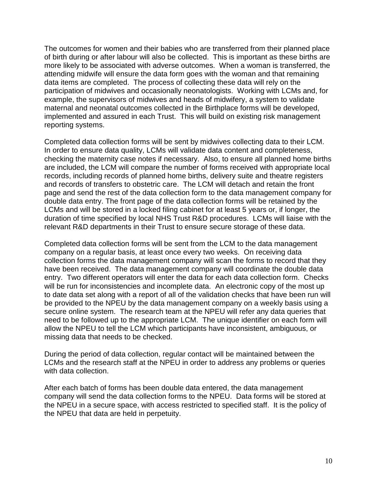The outcomes for women and their babies who are transferred from their planned place of birth during or after labour will also be collected. This is important as these births are more likely to be associated with adverse outcomes. When a woman is transferred, the attending midwife will ensure the data form goes with the woman and that remaining data items are completed. The process of collecting these data will rely on the participation of midwives and occasionally neonatologists. Working with LCMs and, for example, the supervisors of midwives and heads of midwifery, a system to validate maternal and neonatal outcomes collected in the Birthplace forms will be developed, implemented and assured in each Trust. This will build on existing risk management reporting systems.

Completed data collection forms will be sent by midwives collecting data to their LCM. In order to ensure data quality, LCMs will validate data content and completeness, checking the maternity case notes if necessary. Also, to ensure all planned home births are included, the LCM will compare the number of forms received with appropriate local records, including records of planned home births, delivery suite and theatre registers and records of transfers to obstetric care. The LCM will detach and retain the front page and send the rest of the data collection form to the data management company for double data entry. The front page of the data collection forms will be retained by the LCMs and will be stored in a locked filing cabinet for at least 5 years or, if longer, the duration of time specified by local NHS Trust R&D procedures. LCMs will liaise with the relevant R&D departments in their Trust to ensure secure storage of these data.

Completed data collection forms will be sent from the LCM to the data management company on a regular basis, at least once every two weeks. On receiving data collection forms the data management company will scan the forms to record that they have been received. The data management company will coordinate the double data entry. Two different operators will enter the data for each data collection form. Checks will be run for inconsistencies and incomplete data. An electronic copy of the most up to date data set along with a report of all of the validation checks that have been run will be provided to the NPEU by the data management company on a weekly basis using a secure online system. The research team at the NPEU will refer any data queries that need to be followed up to the appropriate LCM. The unique identifier on each form will allow the NPEU to tell the LCM which participants have inconsistent, ambiguous, or missing data that needs to be checked.

During the period of data collection, regular contact will be maintained between the LCMs and the research staff at the NPEU in order to address any problems or queries with data collection.

After each batch of forms has been double data entered, the data management company will send the data collection forms to the NPEU. Data forms will be stored at the NPEU in a secure space, with access restricted to specified staff. It is the policy of the NPEU that data are held in perpetuity.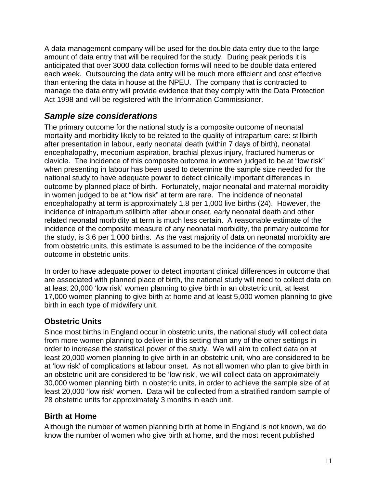A data management company will be used for the double data entry due to the large amount of data entry that will be required for the study. During peak periods it is anticipated that over 3000 data collection forms will need to be double data entered each week. Outsourcing the data entry will be much more efficient and cost effective than entering the data in house at the NPEU. The company that is contracted to manage the data entry will provide evidence that they comply with the Data Protection Act 1998 and will be registered with the Information Commissioner.

### **Sample size considerations**

The primary outcome for the national study is a composite outcome of neonatal mortality and morbidity likely to be related to the quality of intrapartum care: stillbirth after presentation in labour, early neonatal death (within 7 days of birth), neonatal encephalopathy, meconium aspiration, brachial plexus injury, fractured humerus or clavicle. The incidence of this composite outcome in women judged to be at "low risk" when presenting in labour has been used to determine the sample size needed for the national study to have adequate power to detect clinically important differences in outcome by planned place of birth. Fortunately, major neonatal and maternal morbidity in women judged to be at "low risk" at term are rare. The incidence of neonatal encephalopathy at term is approximately 1.8 per 1,000 live births (24). However, the incidence of intrapartum stillbirth after labour onset, early neonatal death and other related neonatal morbidity at term is much less certain. A reasonable estimate of the incidence of the composite measure of any neonatal morbidity, the primary outcome for the study, is 3.6 per 1,000 births. As the vast majority of data on neonatal morbidity are from obstetric units, this estimate is assumed to be the incidence of the composite outcome in obstetric units.

In order to have adequate power to detect important clinical differences in outcome that are associated with planned place of birth, the national study will need to collect data on at least 20,000 'low risk' women planning to give birth in an obstetric unit, at least 17,000 women planning to give birth at home and at least 5,000 women planning to give birth in each type of midwifery unit.

### **Obstetric Units**

Since most births in England occur in obstetric units, the national study will collect data from more women planning to deliver in this setting than any of the other settings in order to increase the statistical power of the study. We will aim to collect data on at least 20,000 women planning to give birth in an obstetric unit, who are considered to be at 'low risk' of complications at labour onset. As not all women who plan to give birth in an obstetric unit are considered to be 'low risk', we will collect data on approximately 30,000 women planning birth in obstetric units, in order to achieve the sample size of at least 20,000 'low risk' women. Data will be collected from a stratified random sample of 28 obstetric units for approximately 3 months in each unit.

#### **Birth at Home**

Although the number of women planning birth at home in England is not known, we do know the number of women who give birth at home, and the most recent published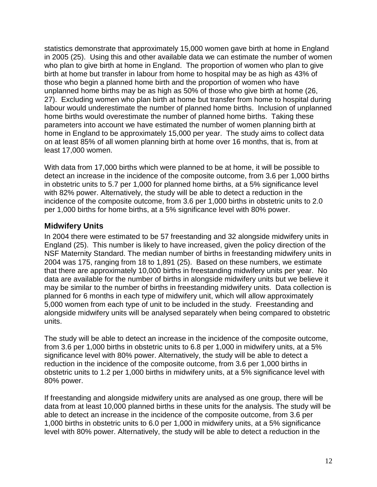statistics demonstrate that approximately 15,000 women gave birth at home in England in 2005 (25). Using this and other available data we can estimate the number of women who plan to give birth at home in England. The proportion of women who plan to give birth at home but transfer in labour from home to hospital may be as high as 43% of those who begin a planned home birth and the proportion of women who have unplanned home births may be as high as 50% of those who give birth at home (26, 27). Excluding women who plan birth at home but transfer from home to hospital during labour would underestimate the number of planned home births. Inclusion of unplanned home births would overestimate the number of planned home births. Taking these parameters into account we have estimated the number of women planning birth at home in England to be approximately 15,000 per year. The study aims to collect data on at least 85% of all women planning birth at home over 16 months, that is, from at least 17,000 women.

With data from 17,000 births which were planned to be at home, it will be possible to detect an increase in the incidence of the composite outcome, from 3.6 per 1,000 births in obstetric units to 5.7 per 1,000 for planned home births, at a 5% significance level with 82% power. Alternatively, the study will be able to detect a reduction in the incidence of the composite outcome, from 3.6 per 1,000 births in obstetric units to 2.0 per 1,000 births for home births, at a 5% significance level with 80% power.

### **Midwifery Units**

In 2004 there were estimated to be 57 freestanding and 32 alongside midwifery units in England (25). This number is likely to have increased, given the policy direction of the NSF Maternity Standard. The median number of births in freestanding midwifery units in 2004 was 175, ranging from 18 to 1,891 (25). Based on these numbers, we estimate that there are approximately 10,000 births in freestanding midwifery units per year. No data are available for the number of births in alongside midwifery units but we believe it may be similar to the number of births in freestanding midwifery units. Data collection is planned for 6 months in each type of midwifery unit, which will allow approximately 5,000 women from each type of unit to be included in the study. Freestanding and alongside midwifery units will be analysed separately when being compared to obstetric units.

The study will be able to detect an increase in the incidence of the composite outcome, from 3.6 per 1,000 births in obstetric units to 6.8 per 1,000 in midwifery units, at a 5% significance level with 80% power. Alternatively, the study will be able to detect a reduction in the incidence of the composite outcome, from 3.6 per 1,000 births in obstetric units to 1.2 per 1,000 births in midwifery units, at a 5% significance level with 80% power.

If freestanding and alongside midwifery units are analysed as one group, there will be data from at least 10,000 planned births in these units for the analysis. The study will be able to detect an increase in the incidence of the composite outcome, from 3.6 per 1,000 births in obstetric units to 6.0 per 1,000 in midwifery units, at a 5% significance level with 80% power. Alternatively, the study will be able to detect a reduction in the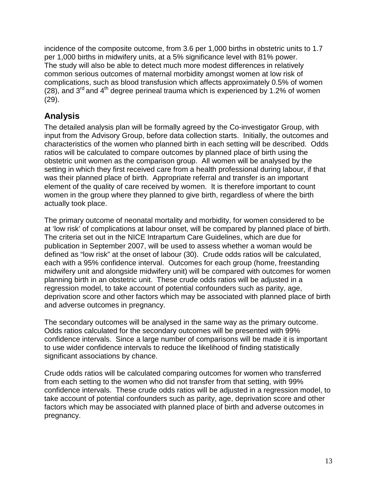incidence of the composite outcome, from 3.6 per 1,000 births in obstetric units to 1.7 per 1,000 births in midwifery units, at a 5% significance level with 81% power. The study will also be able to detect much more modest differences in relatively common serious outcomes of maternal morbidity amongst women at low risk of complications, such as blood transfusion which affects approximately 0.5% of women (28), and  $3^{rd}$  and  $4^{th}$  degree perineal trauma which is experienced by 1.2% of women (29).

# **Analysis**

The detailed analysis plan will be formally agreed by the Co-investigator Group, with input from the Advisory Group, before data collection starts. Initially, the outcomes and characteristics of the women who planned birth in each setting will be described. Odds ratios will be calculated to compare outcomes by planned place of birth using the obstetric unit women as the comparison group. All women will be analysed by the setting in which they first received care from a health professional during labour, if that was their planned place of birth. Appropriate referral and transfer is an important element of the quality of care received by women. It is therefore important to count women in the group where they planned to give birth, regardless of where the birth actually took place.

The primary outcome of neonatal mortality and morbidity, for women considered to be at 'low risk' of complications at labour onset, will be compared by planned place of birth. The criteria set out in the NICE Intrapartum Care Guidelines, which are due for publication in September 2007, will be used to assess whether a woman would be defined as "low risk" at the onset of labour (30). Crude odds ratios will be calculated, each with a 95% confidence interval. Outcomes for each group (home, freestanding midwifery unit and alongside midwifery unit) will be compared with outcomes for women planning birth in an obstetric unit. These crude odds ratios will be adjusted in a regression model, to take account of potential confounders such as parity, age, deprivation score and other factors which may be associated with planned place of birth and adverse outcomes in pregnancy.

The secondary outcomes will be analysed in the same way as the primary outcome. Odds ratios calculated for the secondary outcomes will be presented with 99% confidence intervals. Since a large number of comparisons will be made it is important to use wider confidence intervals to reduce the likelihood of finding statistically significant associations by chance.

Crude odds ratios will be calculated comparing outcomes for women who transferred from each setting to the women who did not transfer from that setting, with 99% confidence intervals. These crude odds ratios will be adjusted in a regression model, to take account of potential confounders such as parity, age, deprivation score and other factors which may be associated with planned place of birth and adverse outcomes in pregnancy.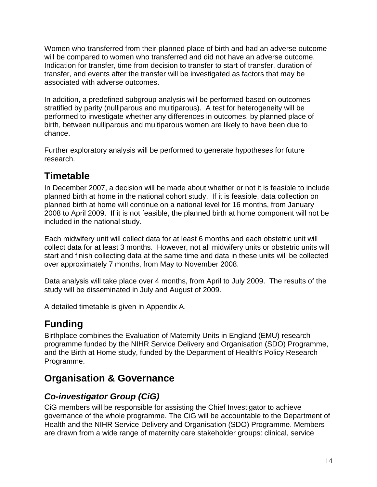Women who transferred from their planned place of birth and had an adverse outcome will be compared to women who transferred and did not have an adverse outcome. Indication for transfer, time from decision to transfer to start of transfer, duration of transfer, and events after the transfer will be investigated as factors that may be associated with adverse outcomes.

In addition, a predefined subgroup analysis will be performed based on outcomes stratified by parity (nulliparous and multiparous). A test for heterogeneity will be performed to investigate whether any differences in outcomes, by planned place of birth, between nulliparous and multiparous women are likely to have been due to chance.

Further exploratory analysis will be performed to generate hypotheses for future research.

# **Timetable**

In December 2007, a decision will be made about whether or not it is feasible to include planned birth at home in the national cohort study. If it is feasible, data collection on planned birth at home will continue on a national level for 16 months, from January 2008 to April 2009. If it is not feasible, the planned birth at home component will not be included in the national study.

Each midwifery unit will collect data for at least 6 months and each obstetric unit will collect data for at least 3 months. However, not all midwifery units or obstetric units will start and finish collecting data at the same time and data in these units will be collected over approximately 7 months, from May to November 2008.

Data analysis will take place over 4 months, from April to July 2009. The results of the study will be disseminated in July and August of 2009.

A detailed timetable is given in Appendix A.

# **Funding**

Birthplace combines the Evaluation of Maternity Units in England (EMU) research programme funded by the NIHR Service Delivery and Organisation (SDO) Programme, and the Birth at Home study, funded by the Department of Health's Policy Research Programme.

# **Organisation & Governance**

# **Co-investigator Group (CiG)**

CiG members will be responsible for assisting the Chief Investigator to achieve governance of the whole programme. The CiG will be accountable to the Department of Health and the NIHR Service Delivery and Organisation (SDO) Programme. Members are drawn from a wide range of maternity care stakeholder groups: clinical, service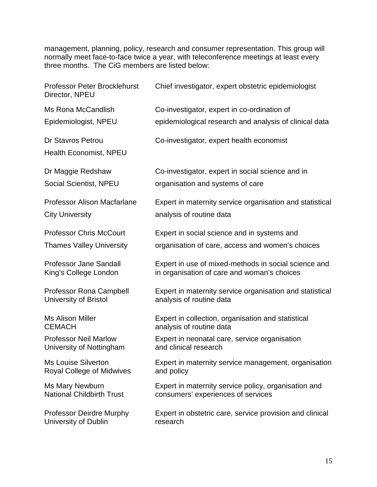management, planning, policy, research and consumer representation. This group will normally meet face-to-face twice a year, with teleconference meetings at least every three months. The CiG members are listed below:

| Professor Peter Brocklehurst<br>Director, NPEU                 | Chief investigator, expert obstetric epidemiologist                                                 |
|----------------------------------------------------------------|-----------------------------------------------------------------------------------------------------|
| Ms Rona McCandlish                                             | Co-investigator, expert in co-ordination of                                                         |
| Epidemiologist, NPEU                                           | epidemiological research and analysis of clinical data                                              |
| <b>Dr Stavros Petrou</b><br><b>Health Economist, NPEU</b>      | Co-investigator, expert health economist                                                            |
| Dr Maggie Redshaw                                              | Co-investigator, expert in social science and in                                                    |
| <b>Social Scientist, NPEU</b>                                  | organisation and systems of care                                                                    |
| <b>Professor Alison Macfarlane</b>                             | Expert in maternity service organisation and statistical                                            |
| <b>City University</b>                                         | analysis of routine data                                                                            |
| <b>Professor Chris McCourt</b>                                 | Expert in social science and in systems and                                                         |
| <b>Thames Valley University</b>                                | organisation of care, access and women's choices                                                    |
| <b>Professor Jane Sandall</b><br>King's College London         | Expert in use of mixed-methods in social science and<br>in organisation of care and woman's choices |
| <b>Professor Rona Campbell</b><br><b>University of Bristol</b> | Expert in maternity service organisation and statistical<br>analysis of routine data                |
| <b>Ms Alison Miller</b><br><b>CEMACH</b>                       | Expert in collection, organisation and statistical<br>analysis of routine data                      |
| <b>Professor Neil Marlow</b><br>University of Nottingham       | Expert in neonatal care, service organisation<br>and clinical research                              |
| <b>Ms Louise Silverton</b><br><b>Royal College of Midwives</b> | Expert in maternity service management, organisation<br>and policy                                  |
| Ms Mary Newburn<br><b>National Childbirth Trust</b>            | Expert in maternity service policy, organisation and<br>consumers' experiences of services          |
| <b>Professor Deirdre Murphy</b><br>University of Dublin        | Expert in obstetric care, service provision and clinical<br>research                                |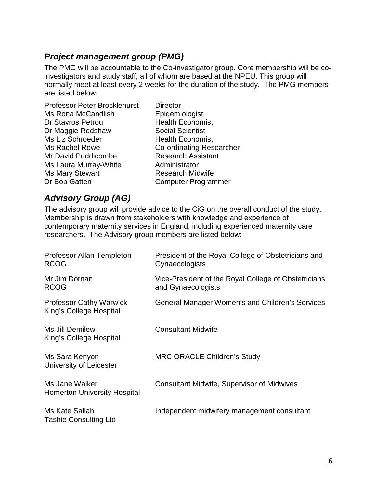## **Project management group (PMG)**

The PMG will be accountable to the Co-investigator group. Core membership will be coinvestigators and study staff, all of whom are based at the NPEU. This group will normally meet at least every 2 weeks for the duration of the study. The PMG members are listed below:

Professor Peter Brocklehurst Director Ms Rona McCandlish Epidemiologist Dr Stavros Petrou **Health Economist** Dr Maggie Redshaw Social Scientist Ms Liz Schroeder Health Economist Ms Rachel Rowe Co-ordinating Researcher Mr David Puddicombe Research Assistant Ms Laura Murray-White **Administrator** Ms Mary Stewart Research Midwife Dr Bob Gatten **Computer Programmer** 

### **Advisory Group (AG)**

The advisory group will provide advice to the CiG on the overall conduct of the study. Membership is drawn from stakeholders with knowledge and experience of contemporary maternity services in England, including experienced maternity care researchers. The Advisory group members are listed below:

| Professor Allan Templeton<br><b>RCOG</b>                  | President of the Royal College of Obstetricians and<br>Gynaecologists      |
|-----------------------------------------------------------|----------------------------------------------------------------------------|
| Mr Jim Dornan<br><b>RCOG</b>                              | Vice-President of the Royal College of Obstetricians<br>and Gynaecologists |
| <b>Professor Cathy Warwick</b><br>King's College Hospital | General Manager Women's and Children's Services                            |
| Ms Jill Demilew<br>King's College Hospital                | <b>Consultant Midwife</b>                                                  |
| Ms Sara Kenyon<br>University of Leicester                 | <b>MRC ORACLE Children's Study</b>                                         |
| Ms Jane Walker<br><b>Homerton University Hospital</b>     | <b>Consultant Midwife, Supervisor of Midwives</b>                          |
| Ms Kate Sallah<br><b>Tashie Consulting Ltd</b>            | Independent midwifery management consultant                                |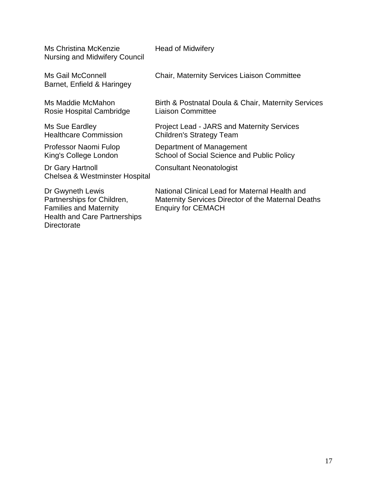| Ms Christina McKenzie<br><b>Nursing and Midwifery Council</b>                                                          | <b>Head of Midwifery</b>                                                                                                          |
|------------------------------------------------------------------------------------------------------------------------|-----------------------------------------------------------------------------------------------------------------------------------|
| Ms Gail McConnell<br>Barnet, Enfield & Haringey                                                                        | <b>Chair, Maternity Services Liaison Committee</b>                                                                                |
| Ms Maddie McMahon<br>Rosie Hospital Cambridge                                                                          | Birth & Postnatal Doula & Chair, Maternity Services<br><b>Liaison Committee</b>                                                   |
| Ms Sue Eardley<br><b>Healthcare Commission</b>                                                                         | <b>Project Lead - JARS and Maternity Services</b><br>Children's Strategy Team                                                     |
| Professor Naomi Fulop<br>King's College London                                                                         | Department of Management<br>School of Social Science and Public Policy                                                            |
| Dr Gary Hartnoll<br>Chelsea & Westminster Hospital                                                                     | <b>Consultant Neonatologist</b>                                                                                                   |
| Dr Gwyneth Lewis<br>Partnerships for Children,<br><b>Families and Maternity</b><br><b>Health and Care Partnerships</b> | National Clinical Lead for Maternal Health and<br>Maternity Services Director of the Maternal Deaths<br><b>Enquiry for CEMACH</b> |

Directorate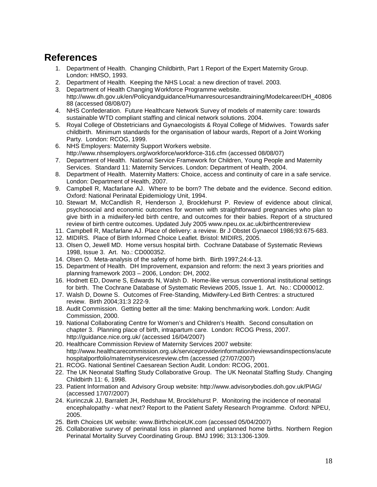# **References**

- 1. Department of Health. Changing Childbirth, Part 1 Report of the Expert Maternity Group. London: HMSO, 1993.
- 2. Department of Health. Keeping the NHS Local: a new direction of travel. 2003.
- 3. Department of Health Changing Workforce Programme website.
- http://www.dh.gov.uk/en/Policyandguidance/Humanresourcesandtraining/Modelcareer/DH\_40806 88 (accessed 08/08/07)
- 4. NHS Confederation. Future Healthcare Network Survey of models of maternity care: towards sustainable WTD compliant staffing and clinical network solutions. 2004.
- 5. Royal College of Obstetricians and Gynaecologists & Royal College of Midwives. Towards safer childbirth. Minimum standards for the organisation of labour wards, Report of a Joint Working Party. London: RCOG, 1999.
- 6. NHS Employers: Maternity Support Workers website. http://www.nhsemployers.org/workforce/workforce-316.cfm (accessed 08/08/07)
- 7. Department of Health. National Service Framework for Children, Young People and Maternity Services. Standard 11: Maternity Services. London: Department of Health, 2004.
- 8. Department of Health. Maternity Matters: Choice, access and continuity of care in a safe service. London: Department of Health, 2007.
- 9. Campbell R, Macfarlane AJ. Where to be born? The debate and the evidence. Second edition. Oxford: National Perinatal Epidemiology Unit, 1994.
- 10. Stewart M, McCandlish R, Henderson J, Brocklehurst P. Review of evidence about clinical, psychosocial and economic outcomes for women with straightforward pregnancies who plan to give birth in a midwifery-led birth centre, and outcomes for their babies. Report of a structured review of birth centre outcomes. Updated July 2005 www.npeu.ox.ac.uk/birthcentrereview
- 11. Campbell R, Macfarlane AJ. Place of delivery: a review. Br J Obstet Gynaecol 1986;93:675-683.
- 12. MIDIRS. Place of Birth Informed Choice Leaflet. Bristol: MIDIRS, 2005.
- 13. Olsen O, Jewell MD. Home versus hospital birth. Cochrane Database of Systematic Reviews 1998, Issue 3. Art. No.: CD000352.
- 14. Olsen O. Meta-analysis of the safety of home birth. Birth 1997;24:4-13.
- 15. Department of Health. DH Improvement, expansion and reform: the next 3 years priorities and planning framework 2003 – 2006, London: DH, 2002.
- 16. Hodnett ED, Downe S, Edwards N, Walsh D. Home-like versus conventional institutional settings for birth. The Cochrane Database of Systematic Reviews 2005, Issue 1. Art. No.: CD000012.
- 17. Walsh D, Downe S. Outcomes of Free-Standing, Midwifery-Led Birth Centres: a structured review. Birth 2004;31:3 222-9.
- 18. Audit Commission. Getting better all the time: Making benchmarking work. London: Audit Commission, 2000.
- 19. National Collaborating Centre for Women's and Children's Health. Second consultation on chapter 3. Planning place of birth, intrapartum care. London: RCOG Press, 2007. http://guidance.nice.org.uk/ (accessed 16/04/2007)
- 20. Healthcare Commission Review of Maternity Services 2007 website: http://www.healthcarecommission.org.uk/serviceproviderinformation/reviewsandinspections/acute hospitalportfolio/maternityservicesreview.cfm (accessed (27/07/2007)
- 21. RCOG. National Sentinel Caesarean Section Audit. London: RCOG, 2001.
- 22. The UK Neonatal Staffing Study Collaborative Group. The UK Neonatal Staffing Study. Changing Childbirth 11: 6, 1998.
- 23. Patient Information and Advisory Group website: http://www.advisorybodies.doh.gov.uk/PIAG/ (accessed 17/07/2007)
- 24. Kurinczuk JJ, Barralett JH, Redshaw M, Brocklehurst P. Monitoring the incidence of neonatal encephalopathy - what next? Report to the Patient Safety Research Programme. Oxford: NPEU, 2005.
- 25. Birth Choices UK website: www.BirthchoiceUK.com (accessed 05/04/2007)
- 26. Collaborative survey of perinatal loss in planned and unplanned home births. Northern Region Perinatal Mortality Survey Coordinating Group. BMJ 1996; 313:1306-1309.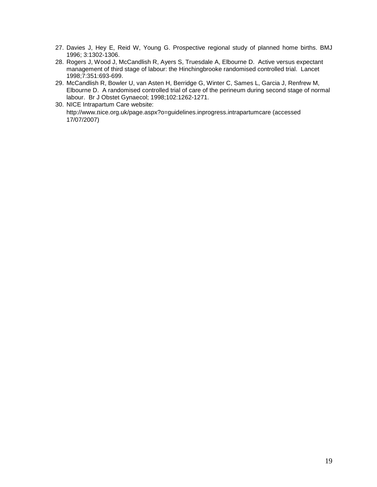- 27. Davies J, Hey E, Reid W, Young G. Prospective regional study of planned home births. BMJ 1996; 3:1302-1306.
- 28. Rogers J, Wood J, McCandlish R, Ayers S, Truesdale A, Elbourne D. Active versus expectant management of third stage of labour: the Hinchingbrooke randomised controlled trial. Lancet 1998;7:351:693-699.
- 29. McCandlish R, Bowler U, van Asten H, Berridge G, Winter C, Sames L, Garcia J, Renfrew M, Elbourne D. A randomised controlled trial of care of the perineum during second stage of normal labour. Br J Obstet Gynaecol; 1998;102:1262-1271.
- 30. NICE Intrapartum Care website: http://www.nice.org.uk/page.aspx?o=guidelines.inprogress.intrapartumcare (accessed 17/07/2007)